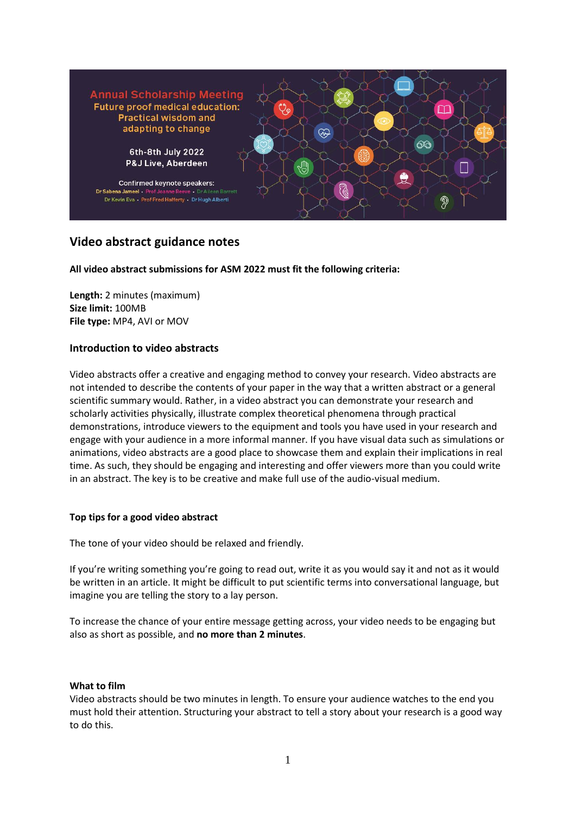

# **Video abstract guidance notes**

**All video abstract submissions for ASM 2022 must fit the following criteria:**

**Length:** 2 minutes (maximum) **Size limit:** 100MB **File type:** MP4, AVI or MOV

## **Introduction to video abstracts**

Video abstracts offer a creative and engaging method to convey your research. Video abstracts are not intended to describe the contents of your paper in the way that a written abstract or a general scientific summary would. Rather, in a video abstract you can demonstrate your research and scholarly activities physically, illustrate complex theoretical phenomena through practical demonstrations, introduce viewers to the equipment and tools you have used in your research and engage with your audience in a more informal manner. If you have visual data such as simulations or animations, video abstracts are a good place to showcase them and explain their implications in real time. As such, they should be engaging and interesting and offer viewers more than you could write in an abstract. The key is to be creative and make full use of the audio-visual medium.

#### **Top tips for a good video abstract**

The tone of your video should be relaxed and friendly.

If you're writing something you're going to read out, write it as you would say it and not as it would be written in an article. It might be difficult to put scientific terms into conversational language, but imagine you are telling the story to a lay person.

To increase the chance of your entire message getting across, your video needs to be engaging but also as short as possible, and **no more than 2 minutes**.

#### **What to film**

Video abstracts should be two minutes in length. To ensure your audience watches to the end you must hold their attention. Structuring your abstract to tell a story about your research is a good way to do this.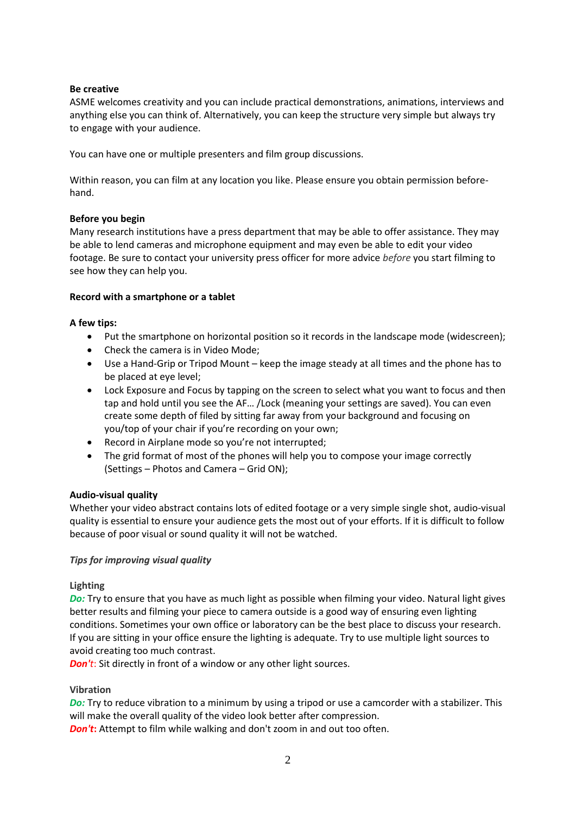## **Be creative**

ASME welcomes creativity and you can include practical demonstrations, animations, interviews and anything else you can think of. Alternatively, you can keep the structure very simple but always try to engage with your audience.

You can have one or multiple presenters and film group discussions.

Within reason, you can film at any location you like. Please ensure you obtain permission beforehand.

## **Before you begin**

Many research institutions have a press department that may be able to offer assistance. They may be able to lend cameras and microphone equipment and may even be able to edit your video footage. Be sure to contact your university press officer for more advice *before* you start filming to see how they can help you.

## **Record with a smartphone or a tablet**

## **A few tips:**

- Put the smartphone on horizontal position so it records in the landscape mode (widescreen);
- Check the camera is in Video Mode;
- Use a Hand-Grip or Tripod Mount keep the image steady at all times and the phone has to be placed at eye level;
- Lock Exposure and Focus by tapping on the screen to select what you want to focus and then tap and hold until you see the AF… /Lock (meaning your settings are saved). You can even create some depth of filed by sitting far away from your background and focusing on you/top of your chair if you're recording on your own;
- Record in Airplane mode so you're not interrupted;
- The grid format of most of the phones will help you to compose your image correctly (Settings – Photos and Camera – Grid ON);

#### **Audio-visual quality**

Whether your video abstract contains lots of edited footage or a very simple single shot, audio-visual quality is essential to ensure your audience gets the most out of your efforts. If it is difficult to follow because of poor visual or sound quality it will not be watched.

#### *Tips for improving visual quality*

#### **Lighting**

*Do:* Try to ensure that you have as much light as possible when filming your video. Natural light gives better results and filming your piece to camera outside is a good way of ensuring even lighting conditions. Sometimes your own office or laboratory can be the best place to discuss your research. If you are sitting in your office ensure the lighting is adequate. Try to use multiple light sources to avoid creating too much contrast.

*Don't*: Sit directly in front of a window or any other light sources.

#### **Vibration**

*Do:* Try to reduce vibration to a minimum by using a tripod or use a camcorder with a stabilizer. This will make the overall quality of the video look better after compression.

*Don't*: Attempt to film while walking and don't zoom in and out too often.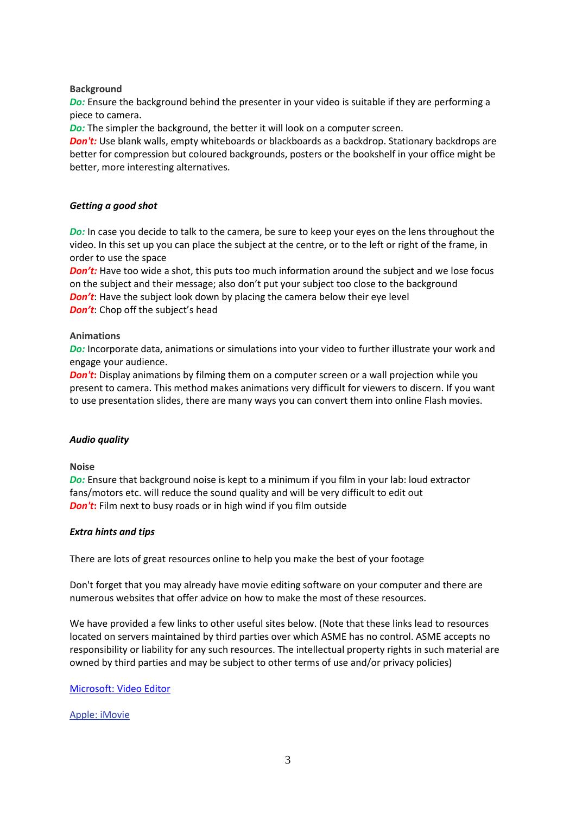#### **Background**

*Do:* Ensure the background behind the presenter in your video is suitable if they are performing a piece to camera.

*Do:* The simpler the background, the better it will look on a computer screen.

*Don't:* Use blank walls, empty whiteboards or blackboards as a backdrop. Stationary backdrops are better for compression but coloured backgrounds, posters or the bookshelf in your office might be better, more interesting alternatives.

## *Getting a good shot*

*Do:* In case you decide to talk to the camera, be sure to keep your eyes on the lens throughout the video. In this set up you can place the subject at the centre, or to the left or right of the frame, in order to use the space

*Don't*: Have too wide a shot, this puts too much information around the subject and we lose focus on the subject and their message; also don't put your subject too close to the background *Don't*: Have the subject look down by placing the camera below their eye level *Don't:* Chop off the subject's head

#### **Animations**

*Do:* Incorporate data, animations or simulations into your video to further illustrate your work and engage your audience.

*Don't*: Display animations by filming them on a computer screen or a wall projection while you present to camera. This method makes animations very difficult for viewers to discern. If you want to use presentation slides, there are many ways you can convert them into online Flash movies.

#### *Audio quality*

#### **Noise**

*Do:* Ensure that background noise is kept to a minimum if you film in your lab: loud extractor fans/motors etc. will reduce the sound quality and will be very difficult to edit out *Don't*: Film next to busy roads or in high wind if you film outside

## *Extra hints and tips*

There are lots of great resources online to help you make the best of your footage

Don't forget that you may already have movie editing software on your computer and there are numerous websites that offer advice on how to make the most of these resources.

We have provided a few links to other useful sites below. (Note that these links lead to resources located on servers maintained by third parties over which ASME has no control. ASME accepts no responsibility or liability for any such resources. The intellectual property rights in such material are owned by third parties and may be subject to other terms of use and/or privacy policies)

#### [Microsoft:](https://support.microsoft.com/en-us/windows/create-films-with-video-editor-94e651f8-a5be-ae03-3c50-e49f013d47f6) Video Editor

#### Apple: [iMovie](http://www.apple.com/ilife/imovie/)